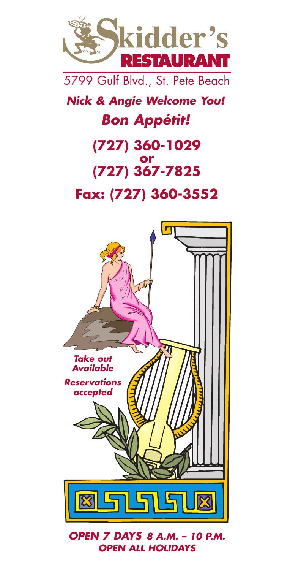

5799 Gulf Blvd., St. Pete Beach

*Nick & Angie Welcome You!* 

# *Bon Appétit!*

# **(727) 360-1029 or (727) 367-7825 Fax: (727) 360-3552**



*OPEN 7 DAYS 8 A.M. – 10 P.M. OPEN ALL HOLIDAYS*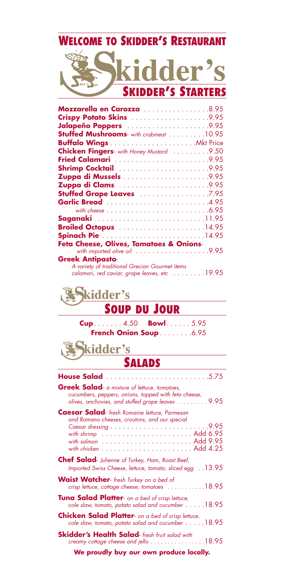#### **WELCOME TO SKIDDER'S RESTAURANT**



| Mozzarella en Carozza 8.95                                                                      |
|-------------------------------------------------------------------------------------------------|
|                                                                                                 |
| Jalapeño Poppers 9.95                                                                           |
| <b>Stuffed Mushrooms</b> - with crabmeat 10.95                                                  |
|                                                                                                 |
| Chicken Fingers- with Honey Mustard 9.50                                                        |
|                                                                                                 |
|                                                                                                 |
|                                                                                                 |
|                                                                                                 |
| <b>Stuffed Grape Leaves 7.95</b>                                                                |
| Garlic Bread 4.95                                                                               |
|                                                                                                 |
|                                                                                                 |
| <b>Broiled Octopus</b> 14.95                                                                    |
| <b>Spinach Pie 14.95</b>                                                                        |
| Feta Cheese, Olives, Tomatoes & Onions-                                                         |
| <b>Greek Antipasto-</b>                                                                         |
| A variety of traditional Grecian Gourmet items<br>calamari, red caviar, grape leaves, etc 19.95 |



# **SOUP DU JOUR**

| <b>Cup4.50 Bowl5.95</b> |  |                               |
|-------------------------|--|-------------------------------|
|                         |  | <b>French Onion Soup</b> 6.95 |

kidder's

### **SALADS**

| <b>Greek Salad-</b> a mixture of lettuce, tomatoes,<br>cucumbers, peppers, onions, topped with feta cheese,<br>olives, anchovies, and stuffed grape leaves $\ldots \ldots \ldots$ 9.95 |
|----------------------------------------------------------------------------------------------------------------------------------------------------------------------------------------|
| <b>Caesar Salad-</b> fresh Romaine lettuce, Parmesan<br>and Romano cheeses, croutons, and our special<br>with chicken $\dots\dots\dots\dots\dots\dots\dots\dots$ . Add 4.25            |
| <b>Chef Salad-</b> Julienne of Turkey, Ham, Roast Beef,<br>Imported Swiss Cheese, lettuce, tomato, sliced egg 13.95                                                                    |
| Waist Watcher- fresh Turkey on a bed of<br>crisp lettuce, cottage cheese, tomatoes 18.95                                                                                               |
| Tuna Salad Platter- on a bed of crisp lettuce,<br>cole slaw, tomato, potato salad and cucumber 18.95                                                                                   |
| <b>Chicken Salad Platter-</b> on a bed of crisp lettuce,<br>cole slaw, tomato, potato salad and cucumber $\dots \dots 18.95$                                                           |
| <b>Skidder's Health Salad-</b> fresh fruit salad with<br>creamy cottage cheese and jello $\ldots \ldots \ldots \ldots \ldots 18.95$                                                    |

**We proudly buy our own produce locally.**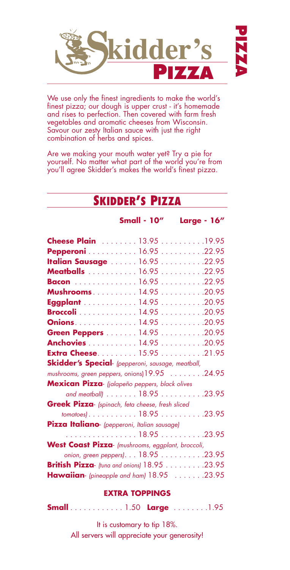

We use only the finest ingredients to make the world's finest pizza; our dough is upper crust - it's homemade and rises to perfection. Then covered with farm fresh vegetables and aromatic cheeses from Wisconsin. Savour our zesty Italian sauce with just the right combination of herbs and spices.

Are we making your mouth water yet? Try a pie for yourself. No matter what part of the world you're from you'll agree Skidder's makes the world's finest pizza.

#### **SKIDDER'S PIZZA**

**Small - 10" Large - 16"**

| <b>Cheese Plain</b> 13.95 19.95                      |                                                 |  |
|------------------------------------------------------|-------------------------------------------------|--|
| Pepperoni 16.95 22.95                                |                                                 |  |
| <b>Italian Sausage</b> 16.95 22.95                   |                                                 |  |
| Meatballs 16.95 22.95                                |                                                 |  |
| <b>Bacon</b> 16.95 22.95                             |                                                 |  |
| <b>Mushrooms</b> . 14.95 20.95                       |                                                 |  |
| Eggplant 14.95 20.95                                 |                                                 |  |
| Broccoli 14.95 20.95                                 |                                                 |  |
| Onions. 14.95 20.95                                  |                                                 |  |
| Green Peppers 14.95 20.95                            |                                                 |  |
| Anchovies 14.95 20.95                                |                                                 |  |
| <b>Extra Cheese15.9521.95</b>                        |                                                 |  |
| Skidder's Special- (pepperoni, sausage, meatball,    |                                                 |  |
| mushrooms, green peppers, onions $19.95$ 24.95       |                                                 |  |
| Mexican Pizza- (jalapeño peppers, black olives       |                                                 |  |
|                                                      | and meatball) 18.95 23.95                       |  |
| Greek Pizza- (spinach, feta cheese, fresh sliced     |                                                 |  |
|                                                      |                                                 |  |
| Pizza Italiano- (pepperoni, Italian sausage)         |                                                 |  |
|                                                      | . 18.95 23.95                                   |  |
| West Coast Pizza- (mushrooms, eggplant, broccoli,    |                                                 |  |
|                                                      | onion, green peppers). $. 18.95 \ldots$ . 23.95 |  |
| <b>British Pizza</b> - (tuna and onions) 18.95 23.95 |                                                 |  |
| <b>Hawaiian</b> - (pineapple and ham) 18.95 23.95    |                                                 |  |
|                                                      |                                                 |  |

#### **EXTRA TOPPINGS**

| <b>Small</b> 1.50 <b>Large</b> 1.95 |  |  |  |  |
|-------------------------------------|--|--|--|--|
|-------------------------------------|--|--|--|--|

It is customary to tip 18%. All servers will appreciate your generosity!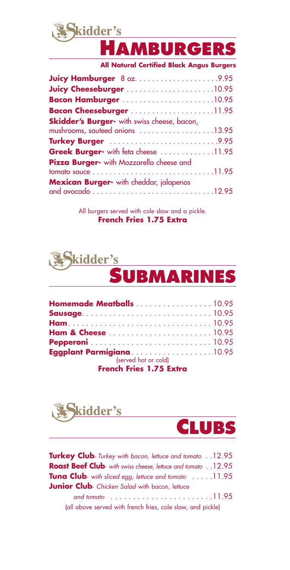

**HAMBURGERS**

**All Natural Certified Black Angus Burgers**

| Skidder's Burger- with swiss cheese, bacon,    |
|------------------------------------------------|
| mushrooms, sauteed onions 13.95                |
|                                                |
| Greek Burger- with feta cheese 11.95           |
| Pizza Burger- with Mozzarella cheese and       |
|                                                |
| <b>Mexican Burger-</b> with cheddar, jalapenos |
|                                                |

All burgers served with cole slaw and a pickle. **French Fries 1.75 Extra**



| Homemade Meatballs 10.95       |  |
|--------------------------------|--|
|                                |  |
|                                |  |
|                                |  |
|                                |  |
| Eggplant Parmigiana10.95       |  |
| (served hot or cold)           |  |
| <b>French Fries 1.75 Extra</b> |  |





| Turkey Club- Turkey with bacon, lettuce and tomato 12.95              |  |
|-----------------------------------------------------------------------|--|
| Roast Beef Club- with swiss cheese, lettuce and tomato 12.95          |  |
| <b>Tuna Club</b> - with sliced egg, lettuce and tomato $\dots$ .11.95 |  |
| <b>Junior Club</b> - Chicken Salad with bacon, lettuce                |  |
|                                                                       |  |
| (all above served with french fries, cole slaw, and pickle)           |  |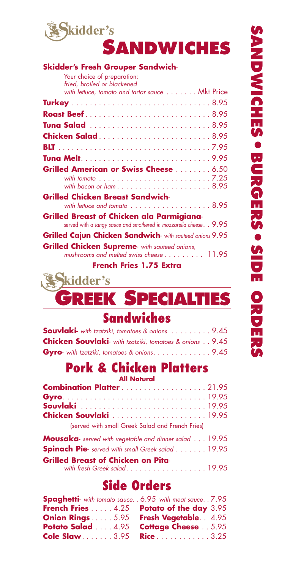

**SANDWICHES**

#### **Skidder's Fresh Grouper Sandwich**-

| Your choice of preparation:<br>fried, broiled or blackened                                                                                |
|-------------------------------------------------------------------------------------------------------------------------------------------|
| with lettuce, tomato and tartar sauce Mkt Price                                                                                           |
|                                                                                                                                           |
| <b>Roast Beef</b> 8.95                                                                                                                    |
|                                                                                                                                           |
| <b>Chicken Salad</b> 8.95                                                                                                                 |
|                                                                                                                                           |
|                                                                                                                                           |
| <b>Grilled American or Swiss Cheese  6.50</b><br>with tomato $\ldots \ldots \ldots \ldots \ldots \ldots \ldots \ldots \ldots \ldots$ 7.25 |
| <b>Grilled Chicken Breast Sandwich-</b><br>with lettuce and tomato 8.95                                                                   |
| <b>Grilled Breast of Chicken ala Parmigiana</b><br>served with a tangy sauce and smothered in mozzarella cheese. $.9.95$                  |
| <b>Grilled Cajun Chicken Sandwich</b> - with sauteed onions 9.95                                                                          |
| <b>Grilled Chicken Supreme-</b> with sauteed onions,<br>mushrooms and melted swiss cheese $11.95$<br>Forced Folio 1 75 Felix -            |
|                                                                                                                                           |

#### **French Fries 1.75 Extra**

# kidder's **GREEK SPECIALTIES**

# **Sandwiches**

| <b>Souvlaki</b> - with tzatziki, tomatoes & onions 9.45         |  |
|-----------------------------------------------------------------|--|
| <b>Chicken Souvlaki</b> - with tzatziki, tomatoes & onions 9.45 |  |
| Gyro- with tzatziki, tomatoes & onions. 9.45                    |  |

#### **Pork & Chicken Platters All Natural**

| <b>Combination Platter 21.95</b>                              |
|---------------------------------------------------------------|
|                                                               |
|                                                               |
|                                                               |
| (served with small Greek Salad and French Fries)              |
| <b>Mousaka</b> - served with vegetable and dinner salad 19.95 |
| <b>Spinach Pie</b> - served with small Greek salad 19.95      |
| <b>Grilled Breast of Chicken on Pita-</b>                     |
| with fresh Greek salad. 19.95                                 |

### **Side Orders**

| <b>Spaghetti-</b> with tomato sauce. . 6.95 with meat sauce. . 7.95 |  |
|---------------------------------------------------------------------|--|
| <b>French Fries</b> 4.25 <b>Potato of the day</b> 3.95              |  |
| <b>Onion Rings 5.95 Fresh Vegetable 4.95</b>                        |  |
| Potato Salad  4.95 Cottage Cheese  5.95                             |  |
| <b>Cole Slaw 3.95 Rice 3.25</b>                                     |  |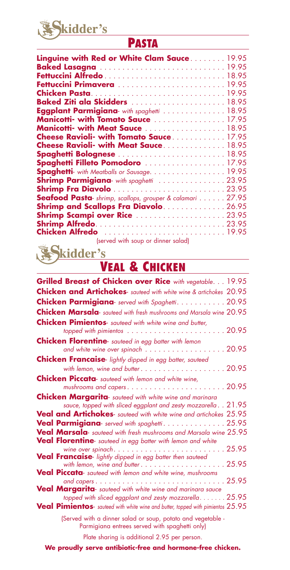kidder's

# **PASTA**

| <b>Linguine with Red or White Clam Sauce 19.95</b>        |  |
|-----------------------------------------------------------|--|
|                                                           |  |
|                                                           |  |
|                                                           |  |
|                                                           |  |
|                                                           |  |
| <b>Baked Ziti ala Skidders 18.95</b>                      |  |
| Eggplant Parmigiana- with spaghetti 18.95                 |  |
| Manicotti- with Tomato Sauce 17.95                        |  |
| Manicotti- with Meat Sauce 18.95                          |  |
| <b>Cheese Ravioli- with Tomato Sauce17.95</b>             |  |
| <b>Cheese Ravioli- with Meat Sauce18.95</b>               |  |
|                                                           |  |
|                                                           |  |
| Spaghetti Filleto Pomodoro 17.95                          |  |
| <b>Spaghetti</b> - with Meatballs or Sausage. 19.95       |  |
| <b>Shrimp Parmigiana</b> - with spaghetti 23.95           |  |
|                                                           |  |
| Seafood Pasta- shrimp, scallops, grouper & calamari 27.95 |  |
| <b>Shrimp and Scallops Fra Diavolo</b> 26.95              |  |
| Shrimp Scampi over Rice 23.95                             |  |
|                                                           |  |
|                                                           |  |
| <b>Chicken Alfredo</b> 19.95                              |  |
| (served with soup or dinner salad)                        |  |

#### **VEAL & CHICKEN**

| Grilled Breast of Chicken over Rice with vegetable. 19.95                                                                           |  |
|-------------------------------------------------------------------------------------------------------------------------------------|--|
| Chicken and Artichokes- sauteed with white wine & artichokes 20.95                                                                  |  |
| <b>Chicken Parmigiana</b> - served with Spaghetti. 20.95                                                                            |  |
| <b>Chicken Marsala-</b> sauteed with fresh mushrooms and Marsala wine 20.95                                                         |  |
| Chicken Pimientos- sauteed with white wine and butter,                                                                              |  |
| <b>Chicken Florentine-</b> sauteed in egg batter with lemon                                                                         |  |
| <b>Chicken Francaise</b> - lightly dipped in egg batter, sauteed                                                                    |  |
|                                                                                                                                     |  |
| <b>Chicken Piccata-</b> sauteed with lemon and white wine,                                                                          |  |
| <b>Chicken Margarita</b> - sauteed with white wine and marinara<br>sauce, topped with sliced eggplant and zesty mozzarella. . 21.95 |  |
| Veal and Artichokes- sauteed with white wine and artichokes 25.95                                                                   |  |
| <b>Veal Parmigiana</b> - served with spaghetti25.95                                                                                 |  |
| Veal Marsala- sauteed with fresh mushrooms and Marsala wine 25.95<br>Veal Florentine- sauteed in egg batter with lemon and white    |  |
| <b>Veal Francaise</b> - lightly dipped in egg batter then sauteed                                                                   |  |
|                                                                                                                                     |  |
| Veal Piccata- sauteed with lemon and white wine, mushrooms                                                                          |  |
| Veal Margarita- sauteed with white wine and marinara sauce<br>topped with sliced eggplant and zesty mozzarella 25.95                |  |
| Veal Pimientos- sauteed with white wine and butter, topped with pimientos 25.95                                                     |  |
| (Served with a dinner salad or soup, potato and vegetable -                                                                         |  |

Parmigiana entrees served with spaghetti only)

Plate sharing is additional 2.95 per person.

**We proudly serve antibiotic-free and hormone-free chicken.**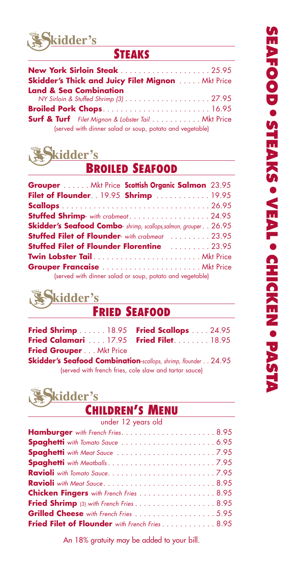

## **STEAKS**

| <b>Skidder's Thick and Juicy Filet Mignon  Mkt Price</b>     |  |
|--------------------------------------------------------------|--|
| <b>Land &amp; Sea Combination</b>                            |  |
|                                                              |  |
|                                                              |  |
| <b>Surf &amp; Turf</b> Filet Mignon & Lobster Tail Mkt Price |  |
| (served with dinner salad or soup, potato and vegetable)     |  |

# Skidder's

**BROILED SEAFOOD**

| Grouper Mkt Price Scottish Organic Salmon 23.95                            |  |
|----------------------------------------------------------------------------|--|
| <b>Filet of Flounder.</b> . 19.95 <b>Shrimp</b> 19.95                      |  |
|                                                                            |  |
| <b>Stuffed Shrimp</b> - with crabmeat. 24.95                               |  |
| <b>Skidder's Seafood Combo-</b> shrimp, scallops, salmon, grouper. . 26.95 |  |
| <b>Stuffed Filet of Flounder-</b> with crabmeat  23.95                     |  |
| <b>Stuffed Filet of Flounder Florentine Mateurer 1.1.1.1.1.1.23.95</b>     |  |
|                                                                            |  |
| <b>Grouper Francaise  Mkt Price</b>                                        |  |
| (served with dinner salad or soup, potato and vegetable)                   |  |

kidder's

## **FRIED SEAFOOD**

|                                                                       |                                | <b>Fried Shrimp</b> 18.95 <b>Fried Scallops</b> 24.95 |  |
|-----------------------------------------------------------------------|--------------------------------|-------------------------------------------------------|--|
|                                                                       |                                | <b>Fried Calamari</b> 17.95 <b>Fried Filet</b> 18.95  |  |
|                                                                       | <b>Fried Grouper Mkt Price</b> |                                                       |  |
| <b>Skidder's Seafood Combination-scallops, shrimp, flounder 24.95</b> |                                |                                                       |  |
| (served with french fries, cole slaw and tartar sauce)                |                                |                                                       |  |



# **CHILDREN'S MENU**

| <b>Chicken Fingers</b> with French Fries 8.95         |
|-------------------------------------------------------|
| <b>Fried Shrimp</b> (3) with French Fries 8.95        |
| <b>Grilled Cheese</b> with French Fries 5.95          |
| <b>Fried Filet of Flounder</b> with French Fries 8.95 |
|                                                       |

An 18% gratuity may be added to your bill.